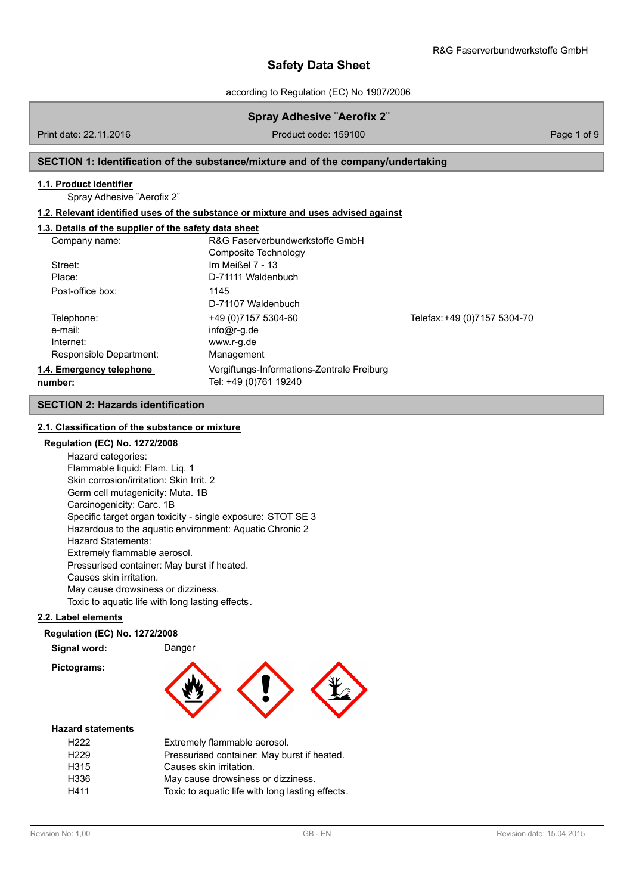according to Regulation (EC) No 1907/2006

# **Spray Adhesive ¨Aerofix 2¨**

Print date: 22.11.2016 **Product code: 159100** Product code: 159100 Page 1 of 9

## **SECTION 1: Identification of the substance/mixture and of the company/undertaking**

### **1.1. Product identifier**

Spray Adhesive ¨Aerofix 2¨

### **1.2. Relevant identified uses of the substance or mixture and uses advised against**

# **1.3. Details of the supplier of the safety data sheet**

| Company name:            | R&G Faserverbundwerkstoffe GmbH            |                              |
|--------------------------|--------------------------------------------|------------------------------|
| Street:                  | Composite Technology<br>Im Meißel 7 - 13   |                              |
|                          |                                            |                              |
| Place:                   | D-71111 Waldenbuch                         |                              |
| Post-office box:         | 1145                                       |                              |
|                          | D-71107 Waldenbuch                         |                              |
| Telephone:               | +49 (0) 7157 5304-60                       | Telefax: +49 (0)7157 5304-70 |
| e-mail:                  | $info@r-q.de$                              |                              |
| Internet:                | www.r-g.de                                 |                              |
| Responsible Department:  | Management                                 |                              |
| 1.4. Emergency telephone | Vergiftungs-Informations-Zentrale Freiburg |                              |
| number:                  | Tel: +49 (0)761 19240                      |                              |

# **SECTION 2: Hazards identification**

# **2.1. Classification of the substance or mixture**

## **Regulation (EC) No. 1272/2008**

Hazard categories: Flammable liquid: Flam. Liq. 1 Skin corrosion/irritation: Skin Irrit. 2 Germ cell mutagenicity: Muta. 1B Carcinogenicity: Carc. 1B Specific target organ toxicity - single exposure: STOT SE 3 Hazardous to the aquatic environment: Aquatic Chronic 2 Hazard Statements: Extremely flammable aerosol. Pressurised container: May burst if heated. Causes skin irritation. May cause drowsiness or dizziness. Toxic to aquatic life with long lasting effects.

### **2.2. Label elements**

### **Regulation (EC) No. 1272/2008**

| Signal word: |  |
|--------------|--|
| Pictograms:  |  |

**Signal word:** Danger



#### **Hazard statements**

| H <sub>222</sub> | Extremely flammable aerosol.                     |
|------------------|--------------------------------------------------|
| H <sub>229</sub> | Pressurised container: May burst if heated.      |
| H <sub>315</sub> | Causes skin irritation.                          |
| H336             | May cause drowsiness or dizziness.               |
| H411             | Toxic to aquatic life with long lasting effects. |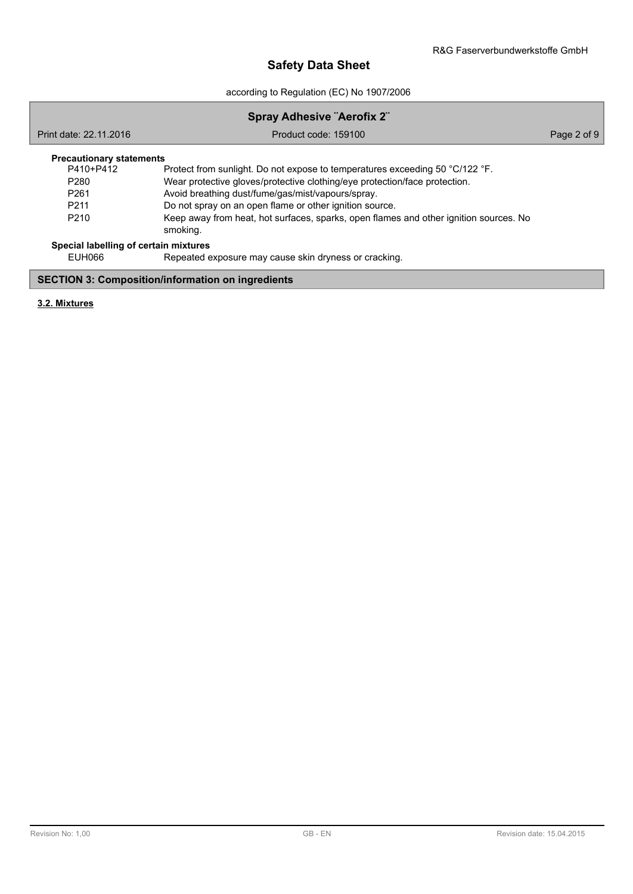according to Regulation (EC) No 1907/2006

| <b>Spray Adhesive "Aerofix 2"</b>                        |                                                                                                   |             |  |  |  |
|----------------------------------------------------------|---------------------------------------------------------------------------------------------------|-------------|--|--|--|
| Print date: 22.11.2016                                   | Product code: 159100                                                                              | Page 2 of 9 |  |  |  |
| <b>Precautionary statements</b>                          |                                                                                                   |             |  |  |  |
| P410+P412                                                | Protect from sunlight. Do not expose to temperatures exceeding 50 °C/122 °F.                      |             |  |  |  |
| P <sub>280</sub>                                         | Wear protective gloves/protective clothing/eye protection/face protection.                        |             |  |  |  |
| P <sub>261</sub>                                         | Avoid breathing dust/fume/gas/mist/vapours/spray.                                                 |             |  |  |  |
| P <sub>211</sub>                                         | Do not spray on an open flame or other ignition source.                                           |             |  |  |  |
| P <sub>210</sub>                                         | Keep away from heat, hot surfaces, sparks, open flames and other ignition sources. No<br>smoking. |             |  |  |  |
| Special labelling of certain mixtures                    |                                                                                                   |             |  |  |  |
| FUH066                                                   | Repeated exposure may cause skin dryness or cracking.                                             |             |  |  |  |
| <b>SECTION 3: Composition/information on ingredients</b> |                                                                                                   |             |  |  |  |

**3.2. Mixtures**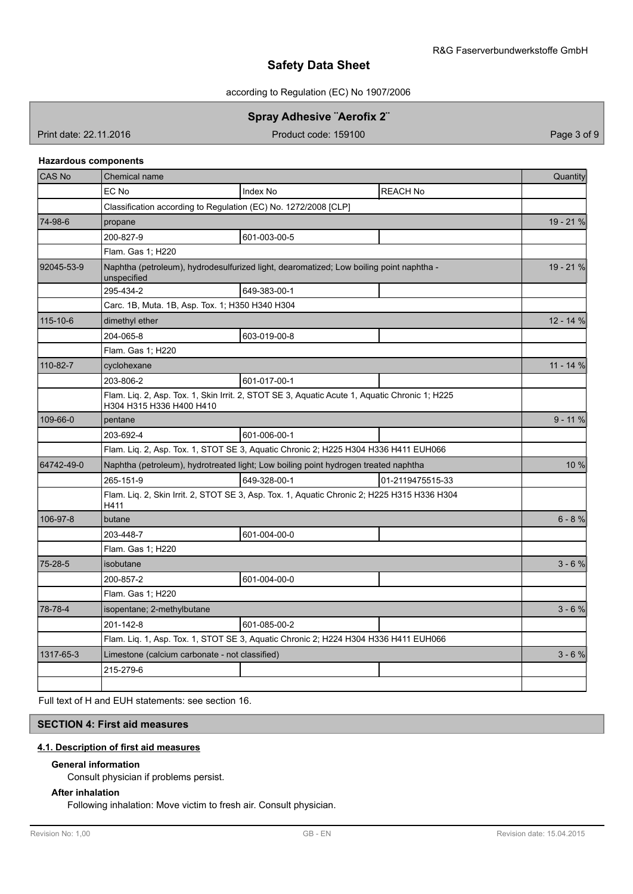according to Regulation (EC) No 1907/2006

# **Spray Adhesive ¨Aerofix 2¨**

Print date: 22.11.2016 **Product code: 159100** Product code: 159100 Page 3 of 9

### **Hazardous components**

| <b>CAS No</b> | Chemical name                                                                                                             | Quantity   |
|---------------|---------------------------------------------------------------------------------------------------------------------------|------------|
|               | EC No<br><b>Index No</b><br><b>REACH No</b>                                                                               |            |
|               | Classification according to Regulation (EC) No. 1272/2008 [CLP]                                                           |            |
| 74-98-6       | propane                                                                                                                   | 19 - 21 %  |
|               | 200-827-9<br>601-003-00-5                                                                                                 |            |
|               | Flam. Gas 1; H220                                                                                                         |            |
| 92045-53-9    | Naphtha (petroleum), hydrodesulfurized light, dearomatized; Low boiling point naphtha -<br>unspecified                    | 19 - 21 %  |
|               | 295-434-2<br>649-383-00-1                                                                                                 |            |
|               | Carc. 1B, Muta. 1B, Asp. Tox. 1; H350 H340 H304                                                                           |            |
| 115-10-6      | dimethyl ether                                                                                                            | 12 - 14 %  |
|               | 603-019-00-8<br>204-065-8                                                                                                 |            |
|               | Flam. Gas 1; H220                                                                                                         |            |
| 110-82-7      | cyclohexane                                                                                                               | $11 - 14%$ |
|               | 203-806-2<br>601-017-00-1                                                                                                 |            |
|               | Flam. Liq. 2, Asp. Tox. 1, Skin Irrit. 2, STOT SE 3, Aquatic Acute 1, Aquatic Chronic 1; H225<br>H304 H315 H336 H400 H410 |            |
| 109-66-0      | pentane                                                                                                                   | $9 - 11 %$ |
|               | 203-692-4<br>601-006-00-1                                                                                                 |            |
|               | Flam. Liq. 2, Asp. Tox. 1, STOT SE 3, Aquatic Chronic 2; H225 H304 H336 H411 EUH066                                       |            |
| 64742-49-0    | Naphtha (petroleum), hydrotreated light; Low boiling point hydrogen treated naphtha                                       | 10 %       |
|               | 265-151-9<br>649-328-00-1<br>01-2119475515-33                                                                             |            |
|               | Flam. Liq. 2, Skin Irrit. 2, STOT SE 3, Asp. Tox. 1, Aquatic Chronic 2; H225 H315 H336 H304<br>H411                       |            |
| 106-97-8      | butane                                                                                                                    | $6 - 8%$   |
|               | 601-004-00-0<br>203-448-7                                                                                                 |            |
|               | Flam. Gas 1; H220                                                                                                         |            |
| 75-28-5       | isobutane                                                                                                                 | $3 - 6 %$  |
|               | 601-004-00-0<br>200-857-2                                                                                                 |            |
|               | Flam. Gas 1; H220                                                                                                         |            |
| 78-78-4       | isopentane; 2-methylbutane                                                                                                | $3 - 6%$   |
|               | 201-142-8<br>601-085-00-2                                                                                                 |            |
|               | Flam. Liq. 1, Asp. Tox. 1, STOT SE 3, Aquatic Chronic 2; H224 H304 H336 H411 EUH066                                       |            |
| 1317-65-3     | Limestone (calcium carbonate - not classified)                                                                            | $3 - 6 %$  |
|               | 215-279-6                                                                                                                 |            |
|               |                                                                                                                           |            |

Full text of H and EUH statements: see section 16.

# **SECTION 4: First aid measures**

### **4.1. Description of first aid measures**

### **General information**

Consult physician if problems persist.

# **After inhalation**

Following inhalation: Move victim to fresh air. Consult physician.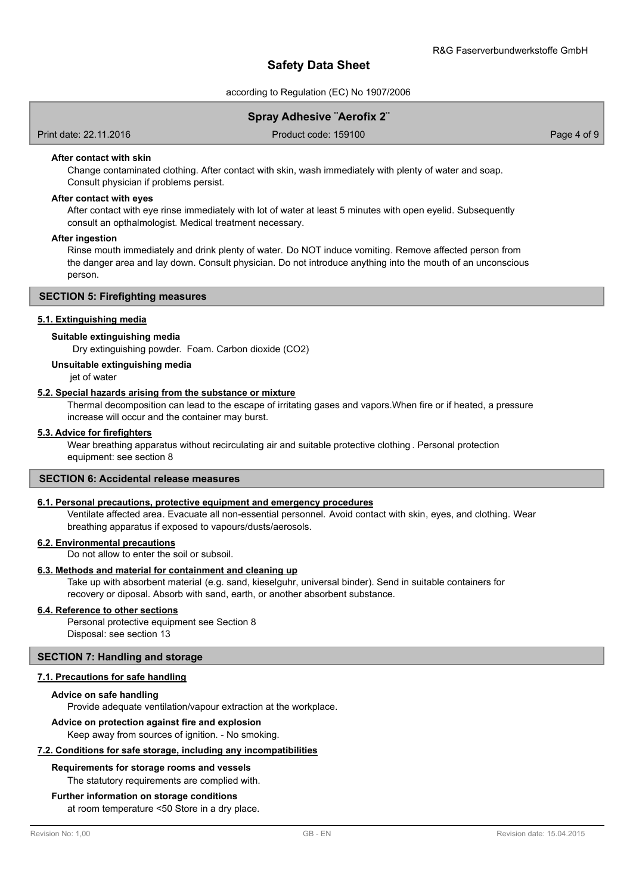according to Regulation (EC) No 1907/2006

Print date: 22.11.2016 Product code: 159100 Page 4 of 9

### **After contact with skin**

Change contaminated clothing. After contact with skin, wash immediately with plenty of water and soap. Consult physician if problems persist.

### **After contact with eyes**

After contact with eye rinse immediately with lot of water at least 5 minutes with open eyelid. Subsequently consult an opthalmologist. Medical treatment necessary.

### **After ingestion**

Rinse mouth immediately and drink plenty of water. Do NOT induce vomiting. Remove affected person from the danger area and lay down. Consult physician. Do not introduce anything into the mouth of an unconscious person.

## **SECTION 5: Firefighting measures**

## **5.1. Extinguishing media**

### **Suitable extinguishing media**

Dry extinguishing powder. Foam. Carbon dioxide (CO2)

### **Unsuitable extinguishing media**

jet of water

### **5.2. Special hazards arising from the substance or mixture**

Thermal decomposition can lead to the escape of irritating gases and vapors.When fire or if heated, a pressure increase will occur and the container may burst.

### **5.3. Advice for firefighters**

Wear breathing apparatus without recirculating air and suitable protective clothing . Personal protection equipment: see section 8

### **SECTION 6: Accidental release measures**

### **6.1. Personal precautions, protective equipment and emergency procedures**

Ventilate affected area. Evacuate all non-essential personnel. Avoid contact with skin, eyes, and clothing. Wear breathing apparatus if exposed to vapours/dusts/aerosols.

### **6.2. Environmental precautions**

Do not allow to enter the soil or subsoil.

### **6.3. Methods and material for containment and cleaning up**

Take up with absorbent material (e.g. sand, kieselguhr, universal binder). Send in suitable containers for recovery or diposal. Absorb with sand, earth, or another absorbent substance.

### **6.4. Reference to other sections**

Personal protective equipment see Section 8 Disposal: see section 13

### **SECTION 7: Handling and storage**

### **7.1. Precautions for safe handling**

### **Advice on safe handling**

Provide adequate ventilation/vapour extraction at the workplace.

### **Advice on protection against fire and explosion**

Keep away from sources of ignition. - No smoking.

### **7.2. Conditions for safe storage, including any incompatibilities**

# **Requirements for storage rooms and vessels**

The statutory requirements are complied with.

### **Further information on storage conditions**

at room temperature <50 Store in a dry place.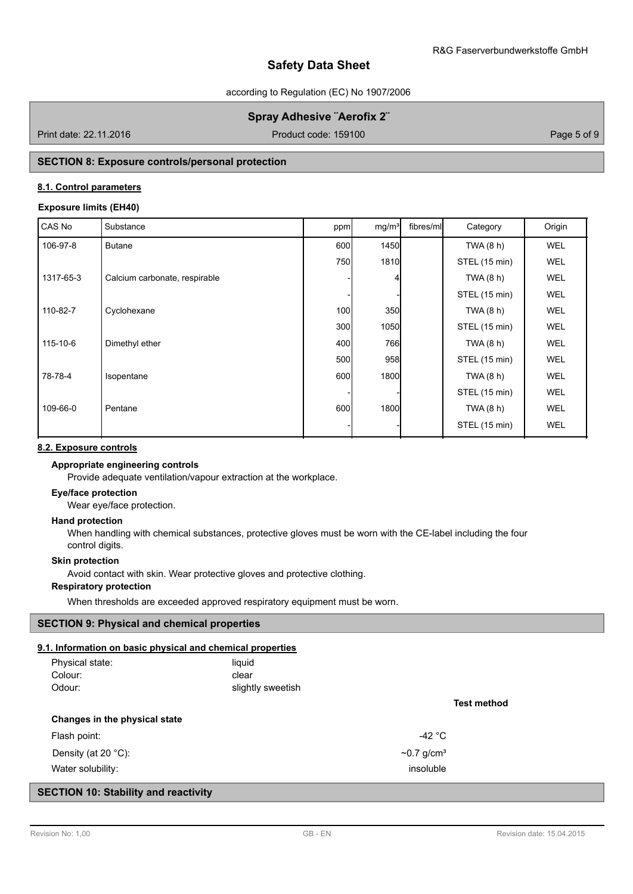according to Regulation (EC) No 1907/2006

# **Spray Adhesive ¨Aerofix 2¨**

Print date: 22.11.2016 **Product code: 159100** Product code: 159100 Page 5 of 9

# **SECTION 8: Exposure controls/personal protection**

# **8.1. Control parameters**

## **Exposure limits (EH40)**

| CAS No    | Substance                     | ppm              | mg/m <sup>3</sup> | fibres/ml | Category      | Origin     |
|-----------|-------------------------------|------------------|-------------------|-----------|---------------|------------|
| 106-97-8  | <b>Butane</b>                 | 600              | 1450              |           | TWA (8 h)     | <b>WEL</b> |
|           |                               | 750              | 1810              |           | STEL (15 min) | <b>WEL</b> |
| 1317-65-3 | Calcium carbonate, respirable |                  |                   |           | TWA (8 h)     | <b>WEL</b> |
|           |                               |                  |                   |           | STEL (15 min) | <b>WEL</b> |
| 110-82-7  | Cyclohexane                   | 100 <sup>1</sup> | 350               |           | TWA (8 h)     | <b>WEL</b> |
|           |                               | 300 <sup>1</sup> | 1050              |           | STEL (15 min) | <b>WEL</b> |
| 115-10-6  | Dimethyl ether                | 400              | 766               |           | TWA (8 h)     | <b>WEL</b> |
|           |                               | 500              | 958               |           | STEL (15 min) | <b>WEL</b> |
| 78-78-4   | Isopentane                    | 600              | 1800              |           | TWA (8 h)     | <b>WEL</b> |
|           |                               |                  |                   |           | STEL (15 min) | <b>WEL</b> |
| 109-66-0  | Pentane                       | 600              | 1800              |           | TWA (8 h)     | <b>WEL</b> |
|           |                               |                  |                   |           | STEL (15 min) | <b>WEL</b> |

# **8.2. Exposure controls**

# **Appropriate engineering controls**

Provide adequate ventilation/vapour extraction at the workplace.

# **Eye/face protection**

Wear eye/face protection.

# **Hand protection**

When handling with chemical substances, protective gloves must be worn with the CE-label including the four control digits.

# **Skin protection**

Avoid contact with skin. Wear protective gloves and protective clothing.

# **Respiratory protection**

When thresholds are exceeded approved respiratory equipment must be worn.

# **SECTION 9: Physical and chemical properties**

# **9.1. Information on basic physical and chemical properties**

| 1. Information on basic physical and chemical properties |                              |             |
|----------------------------------------------------------|------------------------------|-------------|
| Physical state:                                          | liquid                       |             |
| Colour:                                                  | clear                        |             |
| Odour:                                                   | slightly sweetish            |             |
|                                                          |                              | Test method |
| Changes in the physical state                            |                              |             |
| Flash point:                                             | -42 $^{\circ}$ C             |             |
| Density (at 20 $°C$ ):                                   | $\sim$ 0.7 g/cm <sup>3</sup> |             |
| Water solubility:                                        | insoluble                    |             |

# **SECTION 10: Stability and reactivity**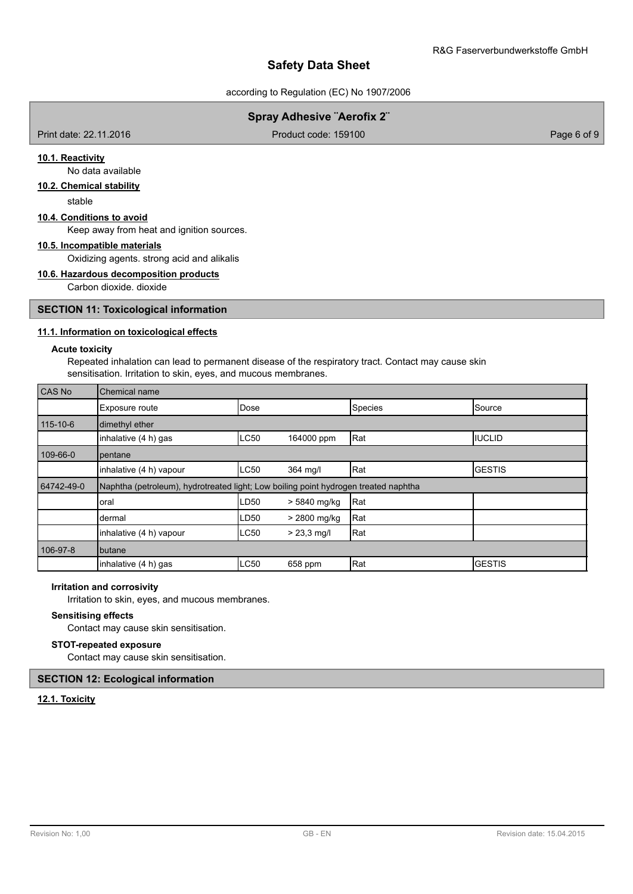according to Regulation (EC) No 1907/2006

# **Spray Adhesive ¨Aerofix 2¨**

Print date: 22.11.2016 **Product code: 159100** Product code: 159100 Page 6 of 9

## **10.1. Reactivity**

No data available

# **10.2. Chemical stability**

stable

### **10.4. Conditions to avoid**

Keep away from heat and ignition sources.

# **10.5. Incompatible materials**

Oxidizing agents. strong acid and alikalis

#### **10.6. Hazardous decomposition products**

Carbon dioxide. dioxide

## **SECTION 11: Toxicological information**

## **11.1. Information on toxicological effects**

# **Acute toxicity**

Repeated inhalation can lead to permanent disease of the respiratory tract. Contact may cause skin sensitisation. Irritation to skin, eyes, and mucous membranes.

| CAS No         | Chemical name                                                                       |      |               |         |                 |  |  |
|----------------|-------------------------------------------------------------------------------------|------|---------------|---------|-----------------|--|--|
|                | Exposure route                                                                      | Dose |               | Species | Source          |  |  |
| $115 - 10 - 6$ | dimethyl ether                                                                      |      |               |         |                 |  |  |
|                | inhalative (4 h) gas                                                                | LC50 | 164000 ppm    | Rat     | <b>IIUCLID</b>  |  |  |
| 109-66-0       | pentane                                                                             |      |               |         |                 |  |  |
|                | inhalative (4 h) vapour                                                             | LC50 | 364 mg/l      | Rat     | <b>I</b> GESTIS |  |  |
| 64742-49-0     | Naphtha (petroleum), hydrotreated light; Low boiling point hydrogen treated naphtha |      |               |         |                 |  |  |
|                | oral                                                                                | LD50 | > 5840 mg/kg  | Rat     |                 |  |  |
|                | dermal                                                                              | LD50 | > 2800 mg/kg  | Rat     |                 |  |  |
|                | inhalative (4 h) vapour                                                             | LC50 | $> 23.3$ mg/l | Rat     |                 |  |  |
| 106-97-8       | butane                                                                              |      |               |         |                 |  |  |
|                | inhalative (4 h) gas                                                                | LC50 | 658 ppm       | Rat     | IGESTIS         |  |  |

### **Irritation and corrosivity**

Irritation to skin, eyes, and mucous membranes.

## **Sensitising effects**

Contact may cause skin sensitisation.

### **STOT-repeated exposure**

Contact may cause skin sensitisation.

### **SECTION 12: Ecological information**

# **12.1. Toxicity**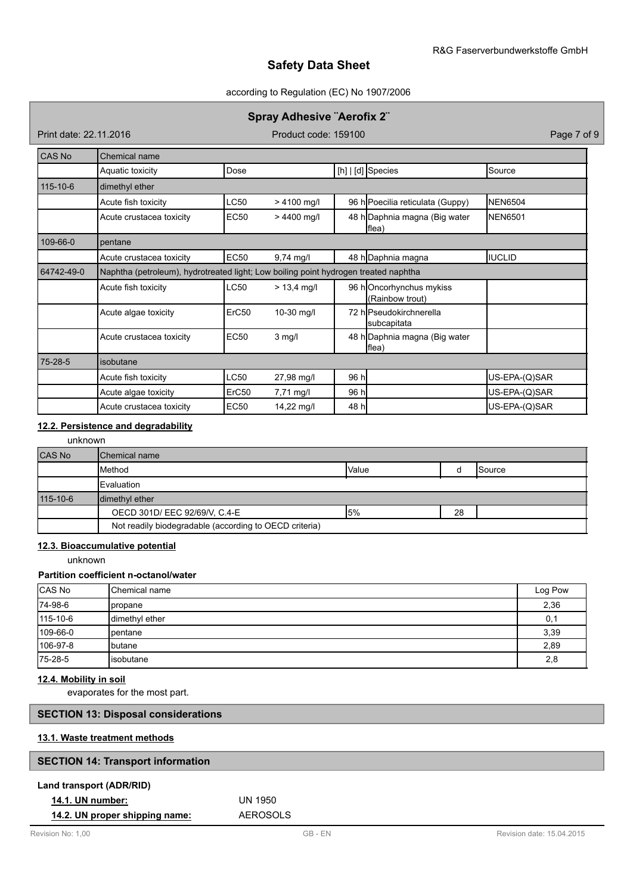### according to Regulation (EC) No 1907/2006

# **Spray Adhesive ¨Aerofix 2¨**

Print date: 22.11.2016 **Product code: 159100** Product code: 159100 Page 7 of 9

| CAS No         | Chemical name                                                                       |             |               |       |                                            |                |  |  |
|----------------|-------------------------------------------------------------------------------------|-------------|---------------|-------|--------------------------------------------|----------------|--|--|
|                | Aquatic toxicity                                                                    | Dose        |               |       | [h]   [d] Species                          | Source         |  |  |
| $115 - 10 - 6$ | dimethyl ether                                                                      |             |               |       |                                            |                |  |  |
|                | Acute fish toxicity                                                                 | <b>LC50</b> | $> 4100$ mg/l |       | 96 h Poecilia reticulata (Guppy)           | <b>NEN6504</b> |  |  |
|                | Acute crustacea toxicity                                                            | <b>EC50</b> | $> 4400$ mg/l |       | 48 h Daphnia magna (Big water<br>flea)     | <b>NEN6501</b> |  |  |
| 109-66-0       | pentane                                                                             |             |               |       |                                            |                |  |  |
|                | Acute crustacea toxicity                                                            | <b>EC50</b> | $9,74$ mg/l   |       | 48 h Daphnia magna                         | <b>IIUCLID</b> |  |  |
| 64742-49-0     | Naphtha (petroleum), hydrotreated light; Low boiling point hydrogen treated naphtha |             |               |       |                                            |                |  |  |
|                | Acute fish toxicity                                                                 | <b>LC50</b> | $> 13.4$ mg/l |       | 96 hOncorhynchus mykiss<br>(Rainbow trout) |                |  |  |
|                | Acute algae toxicity                                                                | ErC50       | 10-30 mg/l    |       | 72 hlPseudokirchnerella<br>subcapitata     |                |  |  |
|                | Acute crustacea toxicity                                                            | <b>EC50</b> | $3$ mg/l      |       | 48 h Daphnia magna (Big water<br>flea)     |                |  |  |
| 75-28-5        | isobutane                                                                           |             |               |       |                                            |                |  |  |
|                | Acute fish toxicity                                                                 | <b>LC50</b> | 27,98 mg/l    | 96 h  |                                            | US-EPA-(Q)SAR  |  |  |
|                | Acute algae toxicity                                                                | ErC50       | 7,71 mg/l     | 96 hl |                                            | US-EPA-(Q)SAR  |  |  |
|                | Acute crustacea toxicity                                                            | <b>EC50</b> | 14,22 mg/l    | 48 h  |                                            | US-EPA-(Q)SAR  |  |  |

# **12.2. Persistence and degradability**

unknown

| <b>CAS No</b> | Chemical name                                          |       |    |                 |  |  |
|---------------|--------------------------------------------------------|-------|----|-----------------|--|--|
|               | Method                                                 | Value |    | <b>I</b> Source |  |  |
|               | <b>IEvaluation</b>                                     |       |    |                 |  |  |
| 115-10-6      | dimethyl ether                                         |       |    |                 |  |  |
|               | OECD 301D/ EEC 92/69/V, C.4-E                          | 15%   | 28 |                 |  |  |
|               | Not readily biodegradable (according to OECD criteria) |       |    |                 |  |  |

# **12.3. Bioaccumulative potential**

unknown

## **Partition coefficient n-octanol/water**

| CAS No   | <b>I</b> Chemical name | Log Pow |
|----------|------------------------|---------|
| 74-98-6  | <b>I</b> propane       | 2,36    |
| 115-10-6 | dimethyl ether         | 0,1     |
| 109-66-0 | Ipentane               | 3,39    |
| 106-97-8 | <b>I</b> butane        | 2,89    |
| 75-28-5  | Iisobutane             | 2,8     |

### **12.4. Mobility in soil**

evaporates for the most part.

# **SECTION 13: Disposal considerations**

# **13.1. Waste treatment methods**

| <b>SECTION 14: Transport information</b> |                       |
|------------------------------------------|-----------------------|
| Land transport (ADR/RID)                 |                       |
| <b>14.1. UN number:</b>                  | UN 1950               |
|                                          | $-$ - $\sim$ - $\sim$ |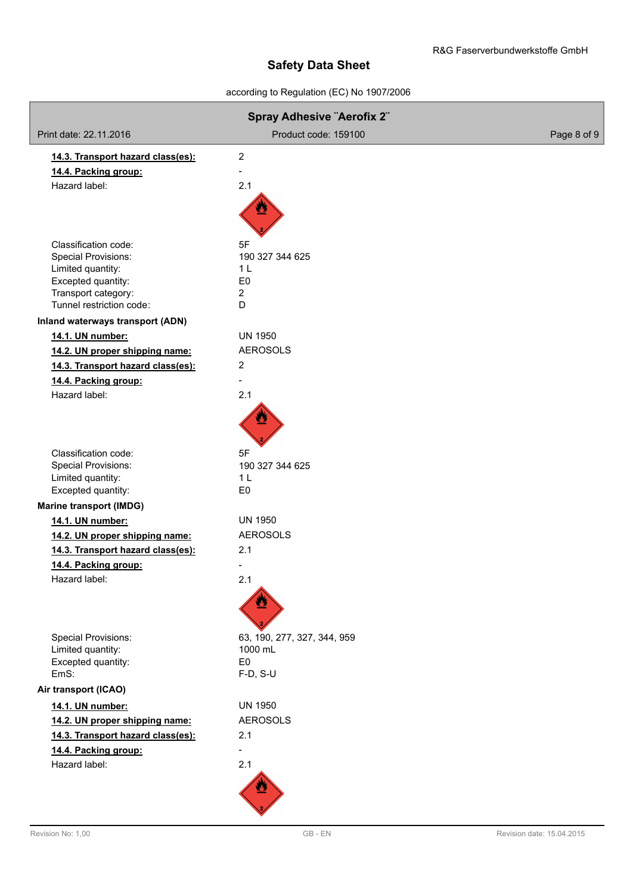# according to Regulation (EC) No 1907/2006

| <b>Spray Adhesive "Aerofix 2"</b>                    |                                  |             |  |  |
|------------------------------------------------------|----------------------------------|-------------|--|--|
| Print date: 22.11.2016                               | Product code: 159100             | Page 8 of 9 |  |  |
| 14.3. Transport hazard class(es):                    | $\overline{2}$                   |             |  |  |
| 14.4. Packing group:                                 |                                  |             |  |  |
| Hazard label:                                        | 2.1                              |             |  |  |
|                                                      |                                  |             |  |  |
| Classification code:                                 | 5F                               |             |  |  |
| <b>Special Provisions:</b>                           | 190 327 344 625                  |             |  |  |
| Limited quantity:<br>Excepted quantity:              | 1 <sub>L</sub><br>E <sub>0</sub> |             |  |  |
| Transport category:                                  | 2                                |             |  |  |
| Tunnel restriction code:                             | D                                |             |  |  |
| Inland waterways transport (ADN)                     |                                  |             |  |  |
| 14.1. UN number:                                     | <b>UN 1950</b>                   |             |  |  |
| 14.2. UN proper shipping name:                       | <b>AEROSOLS</b>                  |             |  |  |
| 14.3. Transport hazard class(es):                    | $\overline{2}$                   |             |  |  |
| 14.4. Packing group:                                 | $\overline{\phantom{a}}$         |             |  |  |
| Hazard label:                                        | 2.1                              |             |  |  |
|                                                      |                                  |             |  |  |
| Classification code:                                 | 5F                               |             |  |  |
| <b>Special Provisions:</b>                           | 190 327 344 625                  |             |  |  |
| Limited quantity:                                    | 1 <sub>L</sub>                   |             |  |  |
| Excepted quantity:<br><b>Marine transport (IMDG)</b> | E <sub>0</sub>                   |             |  |  |
| 14.1. UN number:                                     | <b>UN 1950</b>                   |             |  |  |
| 14.2. UN proper shipping name:                       | <b>AEROSOLS</b>                  |             |  |  |
| 14.3. Transport hazard class(es):                    | 2.1                              |             |  |  |
| 14.4. Packing group:                                 |                                  |             |  |  |
| Hazard label:                                        | 2.1                              |             |  |  |
|                                                      |                                  |             |  |  |
| <b>Special Provisions:</b>                           | 63, 190, 277, 327, 344, 959      |             |  |  |
| Limited quantity:                                    | 1000 mL                          |             |  |  |
| Excepted quantity:<br>EmS:                           | E <sub>0</sub>                   |             |  |  |
|                                                      | F-D, S-U                         |             |  |  |
| Air transport (ICAO)                                 |                                  |             |  |  |
| 14.1. UN number:                                     | <b>UN 1950</b>                   |             |  |  |
| 14.2. UN proper shipping name:                       | <b>AEROSOLS</b>                  |             |  |  |
| 14.3. Transport hazard class(es):                    | 2.1                              |             |  |  |
| 14.4. Packing group:                                 | $\overline{a}$                   |             |  |  |
| Hazard label:                                        | 2.1                              |             |  |  |
|                                                      |                                  |             |  |  |